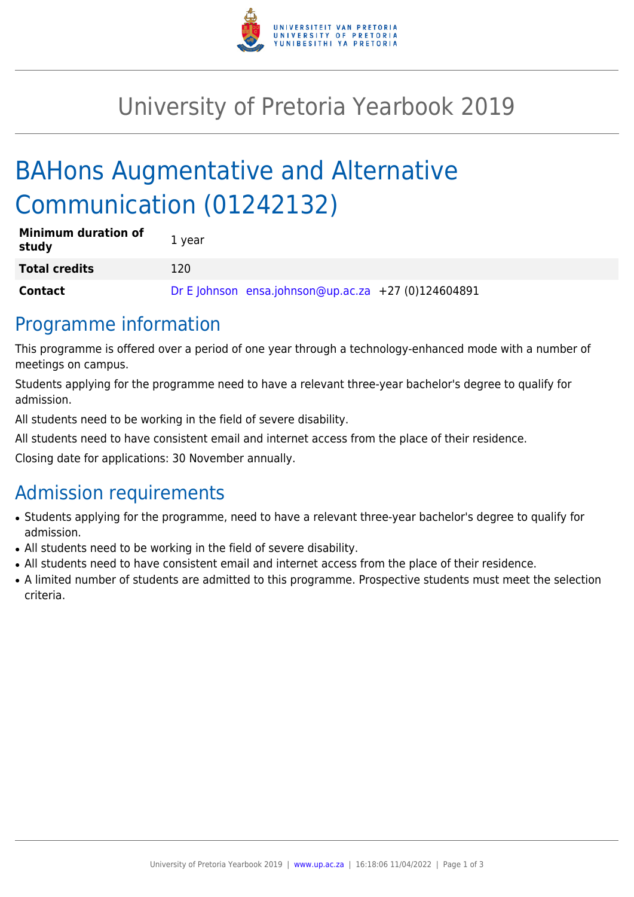

# University of Pretoria Yearbook 2019

# BAHons Augmentative and Alternative Communication (01242132)

| <b>Minimum duration of</b><br>study | 1 year |                                                     |  |
|-------------------------------------|--------|-----------------------------------------------------|--|
| <b>Total credits</b>                | 120    |                                                     |  |
| <b>Contact</b>                      |        | Dr E Johnson ensa.johnson@up.ac.za +27 (0)124604891 |  |

# Programme information

This programme is offered over a period of one year through a technology-enhanced mode with a number of meetings on campus.

Students applying for the programme need to have a relevant three-year bachelor's degree to qualify for admission.

All students need to be working in the field of severe disability.

All students need to have consistent email and internet access from the place of their residence.

Closing date for applications: 30 November annually.

# Admission requirements

- Students applying for the programme, need to have a relevant three-year bachelor's degree to qualify for admission.
- All students need to be working in the field of severe disability.
- All students need to have consistent email and internet access from the place of their residence.
- A limited number of students are admitted to this programme. Prospective students must meet the selection criteria.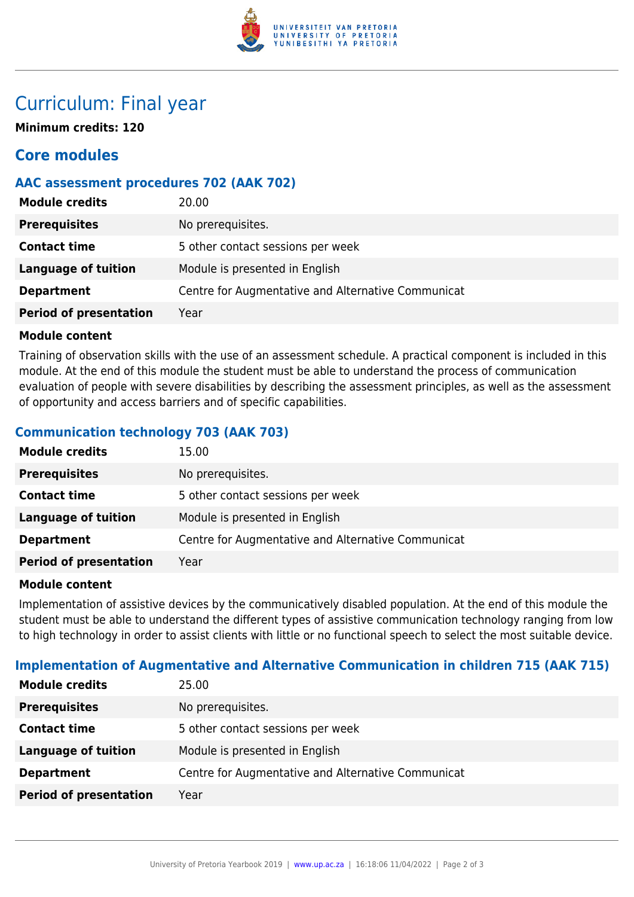

# Curriculum: Final year

**Minimum credits: 120**

## **Core modules**

## **AAC assessment procedures 702 (AAK 702)**

| <b>Module credits</b>         | 20.00                                              |
|-------------------------------|----------------------------------------------------|
| <b>Prerequisites</b>          | No prerequisites.                                  |
| <b>Contact time</b>           | 5 other contact sessions per week                  |
| <b>Language of tuition</b>    | Module is presented in English                     |
| <b>Department</b>             | Centre for Augmentative and Alternative Communicat |
| <b>Period of presentation</b> | Year                                               |

#### **Module content**

Training of observation skills with the use of an assessment schedule. A practical component is included in this module. At the end of this module the student must be able to understand the process of communication evaluation of people with severe disabilities by describing the assessment principles, as well as the assessment of opportunity and access barriers and of specific capabilities.

## **Communication technology 703 (AAK 703)**

| <b>Module credits</b>         | 15.00                                              |
|-------------------------------|----------------------------------------------------|
| <b>Prerequisites</b>          | No prerequisites.                                  |
| <b>Contact time</b>           | 5 other contact sessions per week                  |
| <b>Language of tuition</b>    | Module is presented in English                     |
| <b>Department</b>             | Centre for Augmentative and Alternative Communicat |
| <b>Period of presentation</b> | Year                                               |

#### **Module content**

Implementation of assistive devices by the communicatively disabled population. At the end of this module the student must be able to understand the different types of assistive communication technology ranging from low to high technology in order to assist clients with little or no functional speech to select the most suitable device.

#### **Implementation of Augmentative and Alternative Communication in children 715 (AAK 715)**

| <b>Module credits</b>         | 25.00                                              |
|-------------------------------|----------------------------------------------------|
| <b>Prerequisites</b>          | No prerequisites.                                  |
| <b>Contact time</b>           | 5 other contact sessions per week                  |
| <b>Language of tuition</b>    | Module is presented in English                     |
| <b>Department</b>             | Centre for Augmentative and Alternative Communicat |
| <b>Period of presentation</b> | Year                                               |